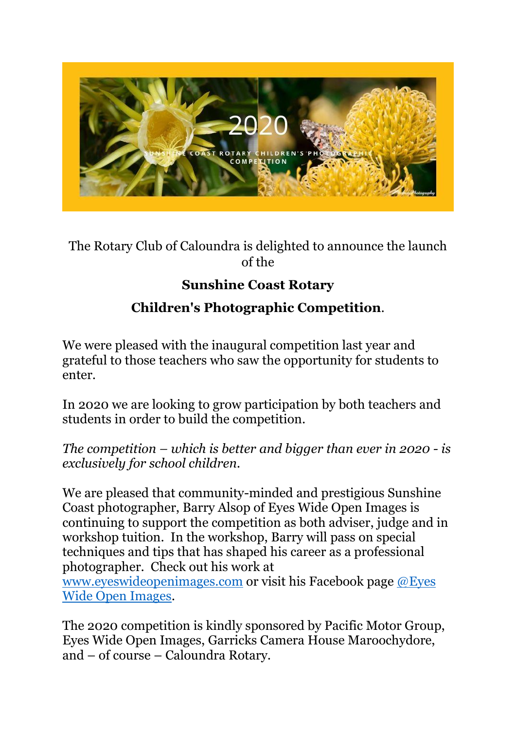

The Rotary Club of Caloundra is delighted to announce the launch of the

## **Sunshine Coast Rotary**

## **Children's Photographic Competition**.

We were pleased with the inaugural competition last year and grateful to those teachers who saw the opportunity for students to enter.

In 2020 we are looking to grow participation by both teachers and students in order to build the competition.

*The competition – which is better and bigger than ever in 2020 - is exclusively for school children.*

We are pleased that community-minded and prestigious Sunshine Coast photographer, Barry Alsop of Eyes Wide Open Images is continuing to support the competition as both adviser, judge and in workshop tuition. In the workshop, Barry will pass on special techniques and tips that has shaped his career as a professional photographer. Check out his work at [www.eyeswideopenimages.com](http://www.eyeswideopenimages.com/) or visit his Facebook page [@Eyes](https://www.facebook.com/EyesWideOpenImages/) 

[Wide Open Images.](https://www.facebook.com/EyesWideOpenImages/)

The 2020 competition is kindly sponsored by Pacific Motor Group, Eyes Wide Open Images, Garricks Camera House Maroochydore, and – of course – Caloundra Rotary.